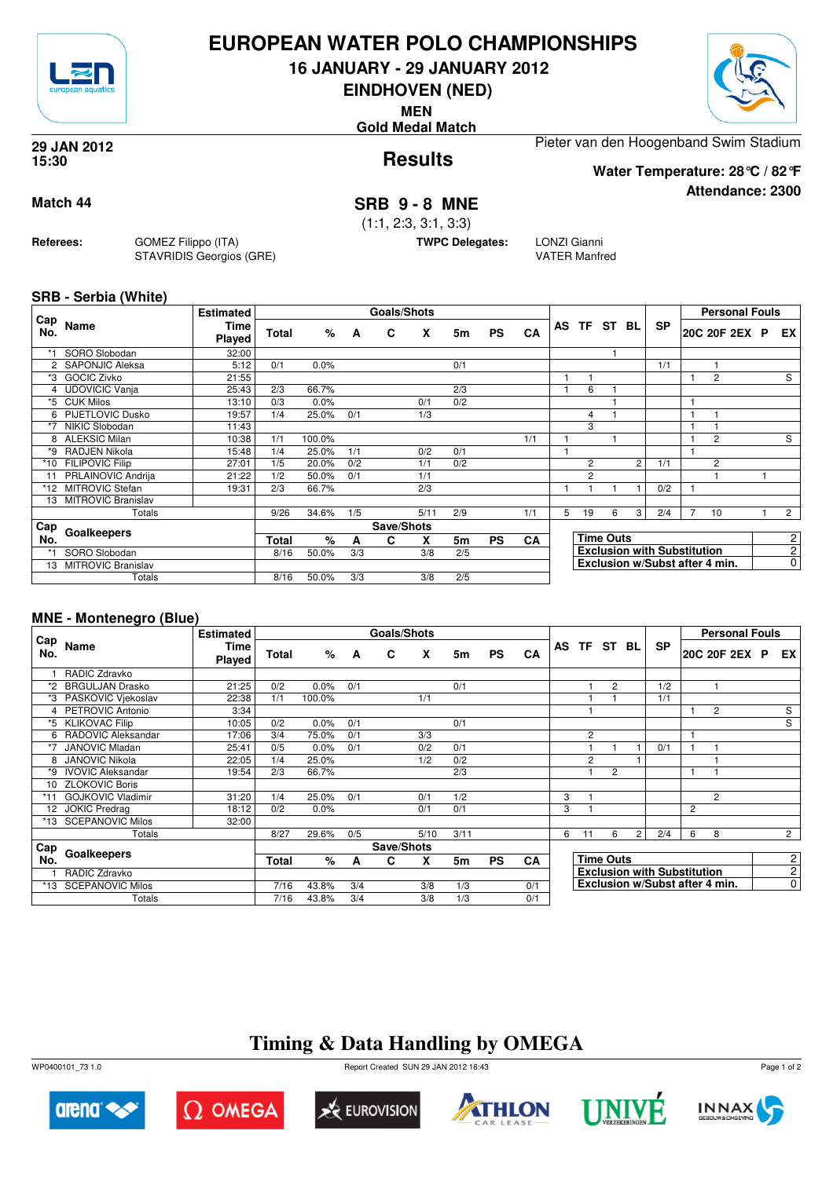

### **EUROPEAN WATER POLO CHAMPIONSHIPS**

**16 JANUARY - 29 JANUARY 2012**

**EINDHOVEN (NED)**

**MEN**

**Gold Medal Match**



**Attendance: 2300**

**Results 29 JAN 2012 15:30**

Pieter van den Hoogenband Swim Stadium

**Water Temperature: 28°C / 82°F**

#### **Match 44 SRB 9 - 8 MNE**

(1:1, 2:3, 3:1, 3:3)

**TWPC Delegates:** LONZI Gianni

VATER Manfred

**SRB - Serbia (White)**

**Referees:** GOMEZ Filippo (ITA)

STAVRIDIS Georgios (GRE)

|            |                         | <b>Estimated</b> |       |        |     | Goals/Shots |      |     |           |           |   |                |                  |   |                                    |                | <b>Personal Fouls</b>          |                |
|------------|-------------------------|------------------|-------|--------|-----|-------------|------|-----|-----------|-----------|---|----------------|------------------|---|------------------------------------|----------------|--------------------------------|----------------|
| Cap<br>No. | Name                    | Time<br>Played   | Total | %      | A   | C           | X    | 5m  | <b>PS</b> | CA        |   |                | AS TF ST BL      |   | <b>SP</b>                          |                | 20C 20F 2EX P                  | EX I           |
| *1         | SORO Slobodan           | 32:00            |       |        |     |             |      |     |           |           |   |                |                  |   |                                    |                |                                |                |
|            | SAPONJIC Aleksa         | 5:12             | 0/1   | 0.0%   |     |             |      | 0/1 |           |           |   |                |                  |   | 1/1                                |                |                                |                |
| *3         | <b>GOCIC Zivko</b>      | 21:55            |       |        |     |             |      |     |           |           |   |                |                  |   |                                    |                | 2                              | S              |
|            | 4 UDOVICIC Vanja        | 25:43            | 2/3   | 66.7%  |     |             |      | 2/3 |           |           |   | 6              |                  |   |                                    |                |                                |                |
| *5         | <b>CUK Milos</b>        | 13:10            | 0/3   | 0.0%   |     |             | 0/1  | 0/2 |           |           |   |                |                  |   |                                    |                |                                |                |
| 6          | <b>PIJETLOVIC Dusko</b> | 19:57            | 1/4   | 25.0%  | 0/1 |             | 1/3  |     |           |           |   | 4              |                  |   |                                    |                |                                |                |
| *7         | NIKIC Slobodan          | 11:43            |       |        |     |             |      |     |           |           |   | 3              |                  |   |                                    |                |                                |                |
|            | 8 ALEKSIC Milan         | 10:38            | 1/1   | 100.0% |     |             |      |     |           | 1/1       |   |                |                  |   |                                    |                | 2                              | S              |
| *9         | RADJEN Nikola           | 15:48            | 1/4   | 25.0%  | 1/1 |             | 0/2  | 0/1 |           |           |   |                |                  |   |                                    |                |                                |                |
| *10        | <b>FILIPOVIC Filip</b>  | 27:01            | 1/5   | 20.0%  | 0/2 |             | 1/1  | 0/2 |           |           |   | $\overline{c}$ |                  | 2 | 1/1                                |                | 2                              |                |
| 11         | PRLAINOVIC Andrija      | 21:22            | 1/2   | 50.0%  | 0/1 |             | 1/1  |     |           |           |   | $\overline{2}$ |                  |   |                                    |                |                                |                |
| *12        | <b>MITROVIC Stefan</b>  | 19:31            | 2/3   | 66.7%  |     |             | 2/3  |     |           |           |   |                |                  |   | 0/2                                |                |                                |                |
| 13         | MITROVIC Branislav      |                  |       |        |     |             |      |     |           |           |   |                |                  |   |                                    |                |                                |                |
|            | Totals                  |                  | 9/26  | 34.6%  | 1/5 |             | 5/11 | 2/9 |           | 1/1       | 5 | 19             | 6                | 3 | 2/4                                | $\overline{7}$ | 10                             | $2^{\circ}$    |
| Cap        |                         |                  |       |        |     | Save/Shots  |      |     |           |           |   |                |                  |   |                                    |                |                                |                |
| No.        | Goalkeepers             |                  | Total | %      | A   | C           | X    | 5m  | <b>PS</b> | <b>CA</b> |   |                | <b>Time Outs</b> |   |                                    |                |                                | $\overline{2}$ |
| *1         | SORO Slobodan           |                  | 8/16  | 50.0%  | 3/3 |             | 3/8  | 2/5 |           |           |   |                |                  |   | <b>Exclusion with Substitution</b> |                |                                | $\overline{2}$ |
| 13         | MITROVIC Branislav      |                  |       |        |     |             |      |     |           |           |   |                |                  |   |                                    |                | Exclusion w/Subst after 4 min. | $\overline{0}$ |
|            | Totals                  |                  | 8/16  | 50.0%  | 3/3 |             | 3/8  | 2/5 |           |           |   |                |                  |   |                                    |                |                                |                |

#### **MNE - Montenegro (Blue)**

|            |                          | <b>Estimated</b>      |              |        |     | Goals/Shots |      |      |           |     |   |    |                  |                |                                    |   | <b>Personal Fouls</b>          |  |                |
|------------|--------------------------|-----------------------|--------------|--------|-----|-------------|------|------|-----------|-----|---|----|------------------|----------------|------------------------------------|---|--------------------------------|--|----------------|
| Cap<br>No. | Name                     | <b>Time</b><br>Played | <b>Total</b> | %      | A   | C           | X    | 5m   | <b>PS</b> | CA  |   |    | AS TF ST BL      |                | <b>SP</b>                          |   | 20C 20F 2EX P                  |  | EX I           |
|            | RADIC Zdravko            |                       |              |        |     |             |      |      |           |     |   |    |                  |                |                                    |   |                                |  |                |
| *2         | <b>BRGULJAN Drasko</b>   | 21:25                 | 0/2          | 0.0%   | 0/1 |             |      | 0/1  |           |     |   |    | 2                |                | 1/2                                |   |                                |  |                |
| *3         | PASKOVIC Viekoslav       | 22:38                 | 1/1          | 100.0% |     |             | 1/1  |      |           |     |   |    |                  |                | 1/1                                |   |                                |  |                |
|            | 4 PETROVIC Antonio       | 3:34                  |              |        |     |             |      |      |           |     |   |    |                  |                |                                    |   | 2                              |  | S              |
|            | *5 KLIKOVAC Filip        | 10:05                 | 0/2          | 0.0%   | 0/1 |             |      | 0/1  |           |     |   |    |                  |                |                                    |   |                                |  | $\overline{s}$ |
| 6          | RADOVIC Aleksandar       | 17:06                 | 3/4          | 75.0%  | 0/1 |             | 3/3  |      |           |     |   | 2  |                  |                |                                    |   |                                |  |                |
| $*7$       | <b>JANOVIC Mladan</b>    | 25:41                 | 0/5          | 0.0%   | 0/1 |             | 0/2  | 0/1  |           |     |   |    |                  |                | 0/1                                | ٠ |                                |  |                |
| 8          | <b>JANOVIC Nikola</b>    | 22:05                 | 1/4          | 25.0%  |     |             | 1/2  | 0/2  |           |     |   | 2  |                  |                |                                    |   |                                |  |                |
| *9         | <b>IVOVIC Aleksandar</b> | 19:54                 | 2/3          | 66.7%  |     |             |      | 2/3  |           |     |   |    | $\overline{c}$   |                |                                    | 1 |                                |  |                |
| 10         | <b>ZLOKOVIC Boris</b>    |                       |              |        |     |             |      |      |           |     |   |    |                  |                |                                    |   |                                |  |                |
|            | <b>GOJKOVIC Vladimir</b> | 31:20                 | 1/4          | 25.0%  | 0/1 |             | 0/1  | 1/2  |           |     | 3 |    |                  |                |                                    |   | 2                              |  |                |
| 12         | <b>JOKIC Predrag</b>     | 18:12                 | 0/2          | 0.0%   |     |             | 0/1  | 0/1  |           |     | 3 |    |                  |                |                                    | 2 |                                |  |                |
| *13        | <b>SCEPANOVIC Milos</b>  | 32:00                 |              |        |     |             |      |      |           |     |   |    |                  |                |                                    |   |                                |  |                |
|            | Totals                   |                       | 8/27         | 29.6%  | 0/5 |             | 5/10 | 3/11 |           |     | 6 | 11 | 6                | $\overline{2}$ | 2/4                                | 6 | 8                              |  | $\overline{2}$ |
| <b>Cap</b> |                          |                       |              |        |     | Save/Shots  |      |      |           |     |   |    |                  |                |                                    |   |                                |  |                |
| No.        | Goalkeepers              |                       | Total        | %      | A   | C           | X    | 5m   | <b>PS</b> | CA  |   |    | <b>Time Outs</b> |                |                                    |   |                                |  | $\mathbf{2}$   |
|            | RADIC Zdravko            |                       |              |        |     |             |      |      |           |     |   |    |                  |                | <b>Exclusion with Substitution</b> |   |                                |  | $\mathbf{2}$   |
|            | *13 SCEPANOVIC Milos     |                       | 7/16         | 43.8%  | 3/4 |             | 3/8  | 1/3  |           | 0/1 |   |    |                  |                |                                    |   | Exclusion w/Subst after 4 min. |  | $\overline{0}$ |
|            | Totals                   |                       | 7/16         | 43.8%  | 3/4 |             | 3/8  | 1/3  |           | 0/1 |   |    |                  |                |                                    |   |                                |  |                |

# **Timing & Data Handling by OMEGA**

WP0400101\_73 1.0 Report Created SUN 29 JAN 2012 16:43













Page 1 of 2